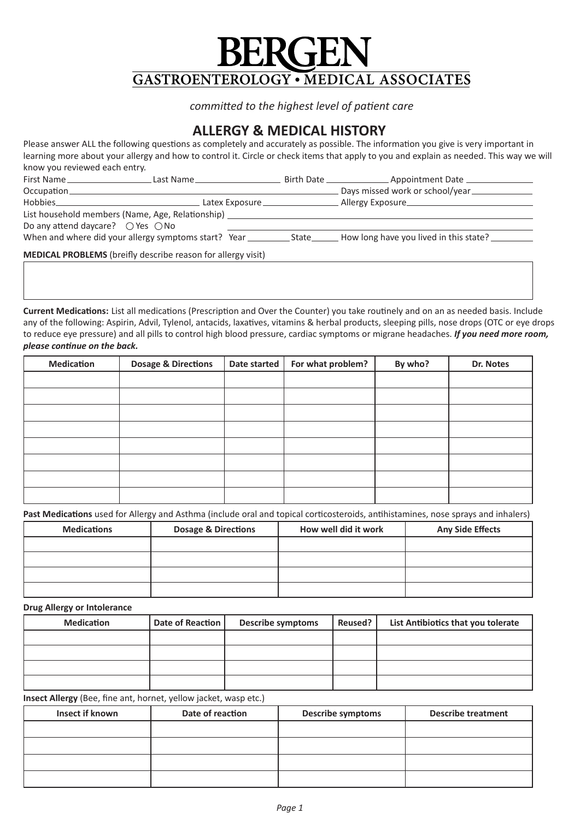# **GASTROENTEROLOGY • MEDICAL ASSOCIATES**

*committed to the highest level of patient care* 

# **ALLERGY & MEDICAL HISTORY**

learning more about your allergy and how to control it. Circle or check items that apply to you and explain as needed. This way we will<br>know you roviewed each entry Please answer ALL the following questions as completely and accurately as possible. The information you give is very important in know you reviewed each entry.

| First Name                                                                                                     | Last Name | Birth Date ________________________ Appointment Date _________ |
|----------------------------------------------------------------------------------------------------------------|-----------|----------------------------------------------------------------|
|                                                                                                                |           | Days missed work or school/year                                |
| Hobbies Participate Communications and the Communications of the Communications of the Communications of the C |           | Allergy Exposure                                               |
| List household members (Name, Age, Relationship)                                                               |           |                                                                |
| Do any attend daycare? $\bigcirc$ Yes $\bigcirc$ No                                                            |           |                                                                |
|                                                                                                                |           |                                                                |
| <b>MEDICAL PROBLEMS</b> (breifly describe reason for allergy visit)                                            |           |                                                                |

**Current Medications:** List all medications (Prescription and Over the Counter) you take routinely and on an as needed basis. Include any or the following. Aspirin, Advil, Tylehol, antactus, laxatives, vitamins & herbarphoducts, sleeping plils, hose drops (OTC or eye drop<br>to reduce eye pressure) and all pills to control high blood pressure, cardiac sympt  $\mathcal{L}$  ue on the back. any of the following: Aspirin, Advil, Tylenol, antacids, laxatives, vitamins & herbal products, sleeping pills, nose drops (OTC or eye drops *please continue on the back.* 

| <b>Medication</b> | <b>Dosage &amp; Directions</b> | Date started | For what problem? | By who? | Dr. Notes |
|-------------------|--------------------------------|--------------|-------------------|---------|-----------|
|                   |                                |              |                   |         |           |
|                   |                                |              |                   |         |           |
|                   |                                |              |                   |         |           |
|                   |                                |              |                   |         |           |
|                   |                                |              |                   |         |           |
|                   |                                |              |                   |         |           |
|                   |                                |              |                   |         |           |
|                   |                                |              |                   |         |           |

**Past Medications** used for Allergy and Asthma (include oral and topical corticosteroids, antihistamines, nose sprays and inhalers)<br> **Example: Asthma and Allergy and Asthma (include oral and topical corticosteroids, antihi** 

| <b>Medications</b> | <b>Dosage &amp; Directions</b> | How well did it work | <b>Any Side Effects</b> |
|--------------------|--------------------------------|----------------------|-------------------------|
|                    |                                |                      |                         |
|                    |                                |                      |                         |
|                    |                                |                      |                         |
|                    |                                |                      |                         |

### **Drug Allergy or Intolerance**

| <b>Medication</b> | Date of Reaction | <b>Describe symptoms</b> | Reused? | List Antibiotics that you tolerate |
|-------------------|------------------|--------------------------|---------|------------------------------------|
|                   |                  |                          |         |                                    |
|                   |                  |                          |         |                                    |
|                   |                  |                          |         |                                    |
|                   |                  |                          |         |                                    |

**Insect Allergy** (Bee, fine ant, hornet, yellow jacket, wasp etc.) **Authority Consection** 

| <b>Insect if known</b> | Date of reaction | <b>Describe symptoms</b> | <b>Describe treatment</b> |
|------------------------|------------------|--------------------------|---------------------------|
|                        |                  |                          |                           |
|                        |                  |                          |                           |
|                        |                  |                          |                           |
|                        |                  |                          |                           |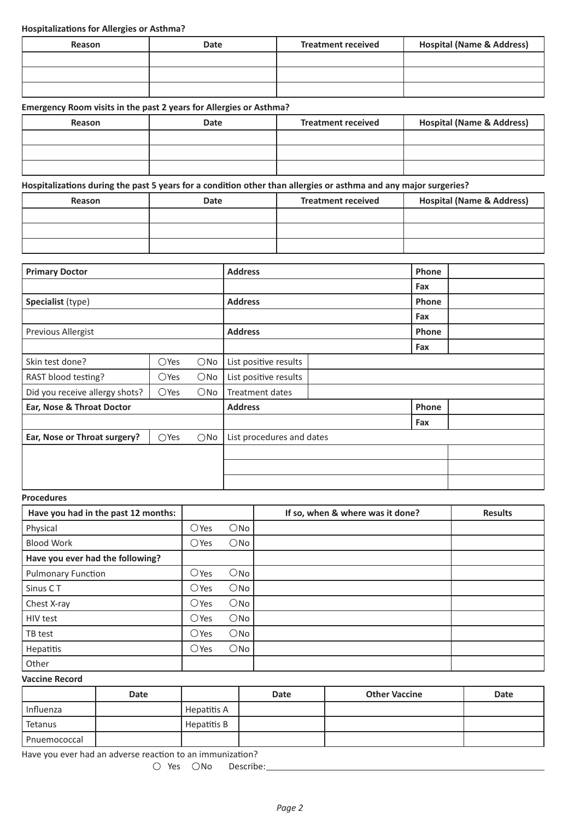### **Hospitalizations for Allergies or Asthma?**

| Reason | Date | <b>Treatment received</b> | <b>Hospital (Name &amp; Address)</b> |
|--------|------|---------------------------|--------------------------------------|
|        |      |                           |                                      |
|        |      |                           |                                      |
|        |      |                           |                                      |

## **Emergency Room visits in the past 2 years for Allergies or Asthma?**

| Reason | <b>Date</b> | <b>Treatment received</b> | <b>Hospital (Name &amp; Address)</b> |
|--------|-------------|---------------------------|--------------------------------------|
|        |             |                           |                                      |
|        |             |                           |                                      |
|        |             |                           |                                      |

# Hospitalizations during the past 5 years for a condition other than allergies or asthma and any major surgeries?

| Reason | Date | <b>Treatment received</b> | <b>Hospital (Name &amp; Address)</b> |
|--------|------|---------------------------|--------------------------------------|
|        |      |                           |                                      |
|        |      |                           |                                      |
|        |      |                           |                                      |

| <b>Primary Doctor</b>          |                |               | <b>Address</b>            | Phone |  |
|--------------------------------|----------------|---------------|---------------------------|-------|--|
|                                |                |               |                           | Fax   |  |
| Specialist (type)              |                |               | <b>Address</b>            | Phone |  |
|                                |                |               |                           | Fax   |  |
| Previous Allergist             |                |               | <b>Address</b>            | Phone |  |
|                                |                |               |                           | Fax   |  |
| Skin test done?                | $\bigcirc$ Yes | $\bigcirc$ No | List positive results     |       |  |
| RAST blood testing?            | $\bigcirc$ Yes | $\bigcirc$ No | List positive results     |       |  |
| Did you receive allergy shots? | $\bigcirc$ Yes | $\bigcirc$ No | Treatment dates           |       |  |
| Ear, Nose & Throat Doctor      |                |               | <b>Address</b>            | Phone |  |
|                                |                |               |                           | Fax   |  |
| Ear, Nose or Throat surgery?   | $\bigcirc$ Yes | $\bigcirc$ No | List procedures and dates |       |  |
|                                |                |               |                           |       |  |
|                                |                |               |                           |       |  |
|                                |                |               |                           |       |  |

# **Procedures**

| Have you had in the past 12 months: |                |               | If so, when & where was it done? | <b>Results</b> |
|-------------------------------------|----------------|---------------|----------------------------------|----------------|
| Physical                            | $\bigcirc$ Yes | $\bigcirc$ No |                                  |                |
| <b>Blood Work</b>                   | $\bigcirc$ Yes | $\bigcirc$ No |                                  |                |
| Have you ever had the following?    |                |               |                                  |                |
| <b>Pulmonary Function</b>           | $\bigcirc$ Yes | $\bigcirc$ No |                                  |                |
| Sinus CT                            | $\bigcirc$ Yes | $\bigcirc$ No |                                  |                |
| Chest X-ray                         | $\bigcirc$ Yes | $\bigcirc$ No |                                  |                |
| HIV test                            | $\bigcirc$ Yes | $\bigcirc$ No |                                  |                |
| TB test                             | $\bigcirc$ Yes | $\bigcirc$ No |                                  |                |
| Hepatitis                           | $\bigcirc$ Yes | $\bigcirc$ No |                                  |                |
| Other                               |                |               |                                  |                |

### **Vaccine Record**

|              | <b>Date</b> |             | <b>Date</b> | <b>Other Vaccine</b> | Date |
|--------------|-------------|-------------|-------------|----------------------|------|
| Influenza    |             | Hepatitis A |             |                      |      |
| Tetanus      |             | Hepatitis B |             |                      |      |
| Pnuemococcal |             |             |             |                      |      |

Have you ever had an adverse reaction to an immunization?

O Yes ONo Describe: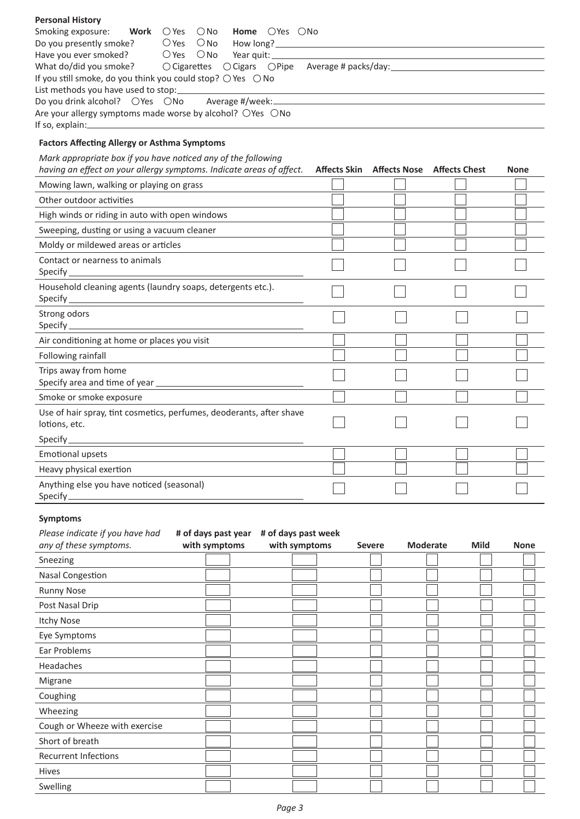| <b>Personal History</b>                                                                                    |                                         |             |
|------------------------------------------------------------------------------------------------------------|-----------------------------------------|-------------|
| Smoking exposure:<br>Work<br>$\bigcirc$ Yes<br>$\bigcirc$ No<br><b>Home</b> $\bigcirc$ Yes $\bigcirc$ No   |                                         |             |
| $\bigcirc$ Yes<br>$\bigcirc$ No<br>Do you presently smoke?                                                 |                                         |             |
| $\bigcirc$ Yes<br>$\bigcirc$ No<br>Have you ever smoked?                                                   |                                         |             |
| What do/did you smoke?<br>○ Cigarettes ○ Cigars ○ Pipe Average # packs/day: ______________________________ |                                         |             |
| If you still smoke, do you think you could stop? $\bigcirc$ Yes $\bigcirc$ No                              |                                         |             |
| List methods you have used to stop:                                                                        |                                         |             |
| Do you drink alcohol? OYes ONo                                                                             |                                         |             |
| Are your allergy symptoms made worse by alcohol? OYes ONo<br>If so, explain: $\equiv$                      |                                         |             |
|                                                                                                            |                                         |             |
| <b>Factors Affecting Allergy or Asthma Symptoms</b>                                                        |                                         |             |
| Mark appropriate box if you have noticed any of the following                                              |                                         |             |
| having an effect on your allergy symptoms. Indicate areas of affect.                                       | Affects Skin Affects Nose Affects Chest | <b>None</b> |
| Mowing lawn, walking or playing on grass                                                                   |                                         |             |
| Other outdoor activities                                                                                   |                                         |             |
| High winds or riding in auto with open windows                                                             |                                         |             |
| Sweeping, dusting or using a vacuum cleaner                                                                |                                         |             |
| Moldy or mildewed areas or articles                                                                        |                                         |             |
| Contact or nearness to animals                                                                             |                                         |             |
| Specify <b>Specify</b>                                                                                     |                                         |             |
| Household cleaning agents (laundry soaps, detergents etc.).                                                |                                         |             |
| Specify                                                                                                    |                                         |             |
| Strong odors                                                                                               |                                         |             |
| Specify $\_\_$                                                                                             |                                         |             |
| Air conditioning at home or places you visit                                                               |                                         |             |
| Following rainfall                                                                                         |                                         |             |
| Trips away from home                                                                                       |                                         |             |
|                                                                                                            |                                         |             |
| Smoke or smoke exposure                                                                                    |                                         |             |
| Use of hair spray, tint cosmetics, perfumes, deoderants, after shave                                       |                                         |             |
| lotions, etc.                                                                                              |                                         |             |
| Specify $\_$                                                                                               |                                         |             |
| <b>Emotional upsets</b>                                                                                    |                                         |             |
| Heavy physical exertion                                                                                    |                                         |             |
| Anything else you have noticed (seasonal)                                                                  |                                         |             |
| Specify $\equiv$                                                                                           |                                         |             |
| <b>Symptoms</b>                                                                                            |                                         |             |

| Please indicate if you have had<br>any of these symptoms. | # of days past year<br>with symptoms | # of days past week<br>with symptoms | <b>Severe</b> | <b>Moderate</b> | <b>Mild</b> | <b>None</b> |
|-----------------------------------------------------------|--------------------------------------|--------------------------------------|---------------|-----------------|-------------|-------------|
| Sneezing                                                  |                                      |                                      |               |                 |             |             |
| <b>Nasal Congestion</b>                                   |                                      |                                      |               |                 |             |             |
| <b>Runny Nose</b>                                         |                                      |                                      |               |                 |             |             |
| Post Nasal Drip                                           |                                      |                                      |               |                 |             |             |
| <b>Itchy Nose</b>                                         |                                      |                                      |               |                 |             |             |
| Eye Symptoms                                              |                                      |                                      |               |                 |             |             |
| Ear Problems                                              |                                      |                                      |               |                 |             |             |
| Headaches                                                 |                                      |                                      |               |                 |             |             |
| Migrane                                                   |                                      |                                      |               |                 |             |             |
| Coughing                                                  |                                      |                                      |               |                 |             |             |
| Wheezing                                                  |                                      |                                      |               |                 |             |             |
| Cough or Wheeze with exercise                             |                                      |                                      |               |                 |             |             |
| Short of breath                                           |                                      |                                      |               |                 |             |             |
| <b>Recurrent Infections</b>                               |                                      |                                      |               |                 |             |             |
| Hives                                                     |                                      |                                      |               |                 |             |             |
| Swelling                                                  |                                      |                                      |               |                 |             |             |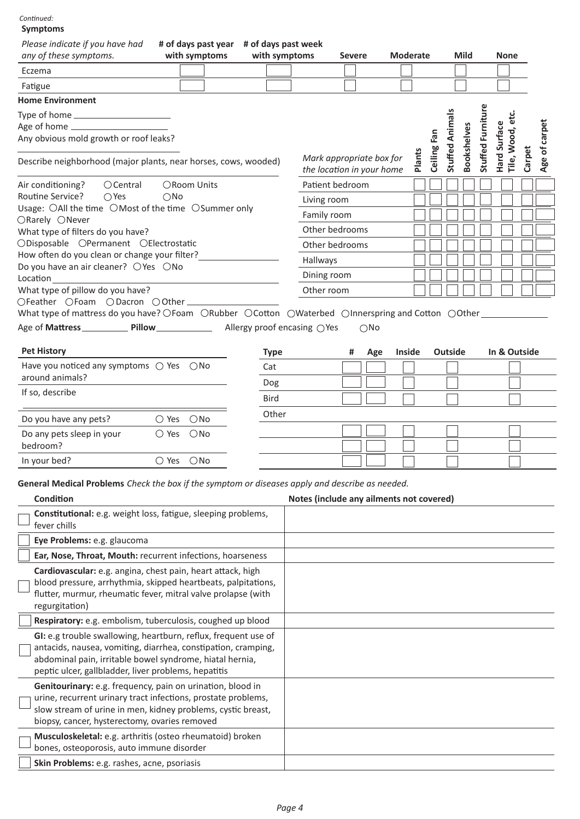### **Symptoms** *:Continued*

| symptoms<br>Please indicate if you have had<br>any of these symptoms.                                                                                                                                           |               | # of days past year # of days past week<br>with symptoms | with symptoms |                                                       | Severe |               | <b>Moderate</b> |        |             |                        | Mild               |                   | <b>None</b>                            |        |                                          |
|-----------------------------------------------------------------------------------------------------------------------------------------------------------------------------------------------------------------|---------------|----------------------------------------------------------|---------------|-------------------------------------------------------|--------|---------------|-----------------|--------|-------------|------------------------|--------------------|-------------------|----------------------------------------|--------|------------------------------------------|
| Eczema                                                                                                                                                                                                          |               |                                                          |               |                                                       |        |               |                 |        |             |                        |                    |                   |                                        |        |                                          |
| Fatigue                                                                                                                                                                                                         |               |                                                          |               |                                                       |        |               |                 |        |             |                        |                    |                   |                                        |        |                                          |
| <b>Home Environment</b>                                                                                                                                                                                         |               |                                                          |               |                                                       |        |               |                 |        |             |                        |                    |                   |                                        |        |                                          |
| Any obvious mold growth or roof leaks?<br>Describe neighborhood (major plants, near horses, cows, wooded)                                                                                                       |               |                                                          |               | Mark appropriate box for<br>the location in your home |        |               |                 | Plants | Ceiling Fan | <b>Stuffed Animals</b> | <b>Bookshelves</b> | Stuffed Furniture | ن<br>فا<br>Hard Surface<br>Tile, Wood, | Carpet | carpet<br>$\overline{\mathbf{b}}$<br>Age |
| $O$ Central<br>Air conditioning?                                                                                                                                                                                | ORoom Units   |                                                          |               | Patient bedroom                                       |        |               |                 |        |             |                        |                    |                   |                                        |        |                                          |
| Routine Service?<br>$\bigcirc$ Yes<br>$\bigcirc$ No                                                                                                                                                             |               |                                                          |               |                                                       |        |               |                 |        |             |                        |                    |                   |                                        |        |                                          |
| Usage: OAll the time OMost of the time OSummer only                                                                                                                                                             |               |                                                          |               | Living room                                           |        |               |                 |        |             |                        |                    |                   |                                        |        |                                          |
| ORarely ONever                                                                                                                                                                                                  |               |                                                          |               | Family room                                           |        |               |                 |        |             |                        |                    |                   |                                        |        |                                          |
| What type of filters do you have?<br>ODisposable OPermanent OElectrostatic                                                                                                                                      |               |                                                          |               | Other bedrooms                                        |        |               |                 |        |             |                        |                    |                   |                                        |        |                                          |
| How often do you clean or change your filter?                                                                                                                                                                   |               |                                                          |               | Other bedrooms                                        |        |               |                 |        |             |                        |                    |                   |                                        |        |                                          |
| Do you have an air cleaner? ○ Yes ○ No                                                                                                                                                                          |               |                                                          |               | Hallways                                              |        |               |                 |        |             |                        |                    |                   |                                        |        |                                          |
| Location                                                                                                                                                                                                        |               |                                                          |               | Dining room                                           |        |               |                 |        |             |                        |                    |                   |                                        |        |                                          |
| What type of pillow do you have?                                                                                                                                                                                |               |                                                          |               | Other room                                            |        |               |                 |        |             |                        |                    |                   |                                        |        |                                          |
| What type of mattress do you have? OFoam ORubber OCotton OWaterbed OInnerspring and Cotton OOther                                                                                                               |               |                                                          |               |                                                       |        |               |                 |        |             |                        |                    |                   |                                        |        |                                          |
| Age of Mattress _______________ Pillow _____________________ Allergy proof encasing OYes                                                                                                                        |               |                                                          |               |                                                       |        | $\bigcirc$ No |                 |        |             |                        |                    |                   |                                        |        |                                          |
|                                                                                                                                                                                                                 |               |                                                          |               |                                                       |        |               |                 |        |             |                        |                    |                   |                                        |        |                                          |
| <b>Pet History</b>                                                                                                                                                                                              |               |                                                          | <b>Type</b>   |                                                       | #      | Age           | <b>Inside</b>   |        |             | <b>Outside</b>         |                    |                   | In & Outside                           |        |                                          |
| Have you noticed any symptoms $\bigcirc$ Yes $\bigcirc$ No                                                                                                                                                      |               |                                                          | Cat           |                                                       |        |               |                 |        |             |                        |                    |                   |                                        |        |                                          |
| around animals?                                                                                                                                                                                                 |               |                                                          | Dog           |                                                       |        |               |                 |        |             |                        |                    |                   |                                        |        |                                          |
| If so, describe                                                                                                                                                                                                 |               |                                                          | Bird          |                                                       |        |               |                 |        |             |                        |                    |                   |                                        |        |                                          |
| Do you have any pets?<br>$\bigcirc$ Yes                                                                                                                                                                         | $\bigcirc$ No |                                                          | Other         |                                                       |        |               |                 |        |             |                        |                    |                   |                                        |        |                                          |
| Do any pets sleep in your<br>$\bigcirc$ Yes                                                                                                                                                                     | $\bigcirc$ No |                                                          |               |                                                       |        |               |                 |        |             |                        |                    |                   |                                        |        |                                          |
| bedroom?                                                                                                                                                                                                        |               |                                                          |               |                                                       |        |               |                 |        |             |                        |                    |                   |                                        |        |                                          |
| $\bigcirc$ Yes<br>In your bed?                                                                                                                                                                                  | $\bigcirc$ No |                                                          |               |                                                       |        |               |                 |        |             |                        |                    |                   |                                        |        |                                          |
| General Medical Problems Check the box if the symptom or diseases apply and describe as needed.<br><b>Condition</b>                                                                                             |               |                                                          |               | Notes (include any ailments not covered)              |        |               |                 |        |             |                        |                    |                   |                                        |        |                                          |
| Constitutional: e.g. weight loss, fatigue, sleeping problems,<br>fever chills                                                                                                                                   |               |                                                          |               |                                                       |        |               |                 |        |             |                        |                    |                   |                                        |        |                                          |
| Eye Problems: e.g. glaucoma                                                                                                                                                                                     |               |                                                          |               |                                                       |        |               |                 |        |             |                        |                    |                   |                                        |        |                                          |
| Ear, Nose, Throat, Mouth: recurrent infections, hoarseness                                                                                                                                                      |               |                                                          |               |                                                       |        |               |                 |        |             |                        |                    |                   |                                        |        |                                          |
| Cardiovascular: e.g. angina, chest pain, heart attack, high<br>blood pressure, arrhythmia, skipped heartbeats, palpitations,<br>flutter, murmur, rheumatic fever, mitral valve prolapse (with<br>regurgitation) |               |                                                          |               |                                                       |        |               |                 |        |             |                        |                    |                   |                                        |        |                                          |
| Respiratory: e.g. embolism, tuberculosis, coughed up blood                                                                                                                                                      |               |                                                          |               |                                                       |        |               |                 |        |             |                        |                    |                   |                                        |        |                                          |
| GI: e.g trouble swallowing, heartburn, reflux, frequent use of<br>antacids, nausea, vomiting, diarrhea, constipation, cramping,<br>abdominal pain, irritable bowel syndrome, hiatal hernia,                     |               |                                                          |               |                                                       |        |               |                 |        |             |                        |                    |                   |                                        |        |                                          |

peptic ulcer, gallbladder, liver problems, hepatitis  $\overline{\phantom{a}}$ Genitourinary: e.g. frequency, pain on urination, blood in  $\begin{bmatrix} \phantom{-} \end{bmatrix}$ 

| <b>Genitourinary:</b> e.g. frequency, pain on urination, blood in |  |
|-------------------------------------------------------------------|--|
| urine, recurrent urinary tract infections, prostate problems,     |  |
| slow stream of urine in men, kidney problems, cystic breast,      |  |
| biopsy, cancer, hysterectomy, ovaries removed                     |  |
| <b>Musculoskeletal:</b> e.g. arthritis (osteo rheumatoid) broken  |  |
| bones, osteoporosis, auto immune disorder                         |  |
| Skin Problems: e.g. rashes, acne, psoriasis                       |  |